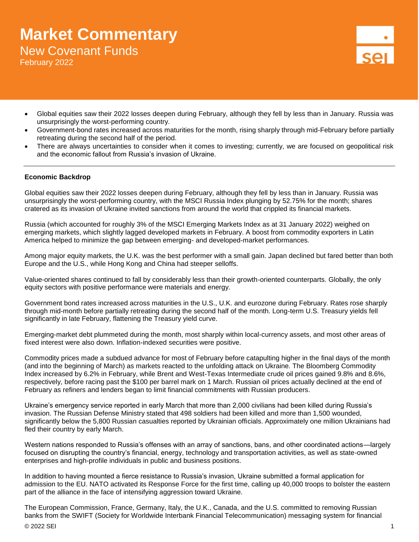# **Market Commentary** New Covenant Funds

February 2022

- Global equities saw their 2022 losses deepen during February, although they fell by less than in January. Russia was unsurprisingly the worst-performing country.
- Government-bond rates increased across maturities for the month, rising sharply through mid-February before partially retreating during the second half of the period.
- There are always uncertainties to consider when it comes to investing; currently, we are focused on geopolitical risk and the economic fallout from Russia's invasion of Ukraine.

## **Economic Backdrop**

Global equities saw their 2022 losses deepen during February, although they fell by less than in January. Russia was unsurprisingly the worst-performing country, with the MSCI Russia Index plunging by 52.75% for the month; shares cratered as its invasion of Ukraine invited sanctions from around the world that crippled its financial markets.

Russia (which accounted for roughly 3% of the MSCI Emerging Markets Index as at 31 January 2022) weighed on emerging markets, which slightly lagged developed markets in February. A boost from commodity exporters in Latin America helped to minimize the gap between emerging- and developed-market performances.

Among major equity markets, the U.K. was the best performer with a small gain. Japan declined but fared better than both Europe and the U.S., while Hong Kong and China had steeper selloffs.

Value-oriented shares continued to fall by considerably less than their growth-oriented counterparts. Globally, the only equity sectors with positive performance were materials and energy.

Government bond rates increased across maturities in the U.S., U.K. and eurozone during February. Rates rose sharply through mid-month before partially retreating during the second half of the month. Long-term U.S. Treasury yields fell significantly in late February, flattening the Treasury yield curve.

Emerging-market debt plummeted during the month, most sharply within local-currency assets, and most other areas of fixed interest were also down. Inflation-indexed securities were positive.

Commodity prices made a subdued advance for most of February before catapulting higher in the final days of the month (and into the beginning of March) as markets reacted to the unfolding attack on Ukraine. The Bloomberg Commodity Index increased by 6.2% in February, while Brent and West-Texas Intermediate crude oil prices gained 9.8% and 8.6%, respectively, before racing past the \$100 per barrel mark on 1 March. Russian oil prices actually declined at the end of February as refiners and lenders began to limit financial commitments with Russian producers.

Ukraine's emergency service reported in early March that more than 2,000 civilians had been killed during Russia's invasion. The Russian Defense Ministry stated that 498 soldiers had been killed and more than 1,500 wounded, significantly below the 5,800 Russian casualties reported by Ukrainian officials. Approximately one million Ukrainians had fled their country by early March.

Western nations responded to Russia's offenses with an array of sanctions, bans, and other coordinated actions—largely focused on disrupting the country's financial, energy, technology and transportation activities, as well as state-owned enterprises and high-profile individuals in public and business positions.

In addition to having mounted a fierce resistance to Russia's invasion, Ukraine submitted a formal application for admission to the EU. NATO activated its Response Force for the first time, calling up 40,000 troops to bolster the eastern part of the alliance in the face of intensifying aggression toward Ukraine.

The European Commission, France, Germany, Italy, the U.K., Canada, and the U.S. committed to removing Russian banks from the SWIFT (Society for Worldwide Interbank Financial Telecommunication) messaging system for financial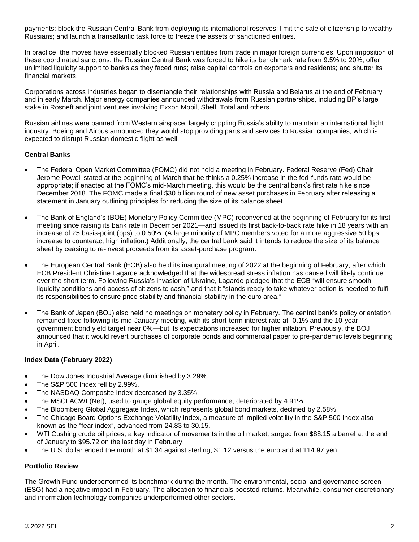payments; block the Russian Central Bank from deploying its international reserves; limit the sale of citizenship to wealthy Russians; and launch a transatlantic task force to freeze the assets of sanctioned entities.

In practice, the moves have essentially blocked Russian entities from trade in major foreign currencies. Upon imposition of these coordinated sanctions, the Russian Central Bank was forced to hike its benchmark rate from 9.5% to 20%; offer unlimited liquidity support to banks as they faced runs; raise capital controls on exporters and residents; and shutter its financial markets.

Corporations across industries began to disentangle their relationships with Russia and Belarus at the end of February and in early March. Major energy companies announced withdrawals from Russian partnerships, including BP's large stake in Rosneft and joint ventures involving Exxon Mobil, Shell, Total and others.

Russian airlines were banned from Western airspace, largely crippling Russia's ability to maintain an international flight industry. Boeing and Airbus announced they would stop providing parts and services to Russian companies, which is expected to disrupt Russian domestic flight as well.

# **Central Banks**

- The Federal Open Market Committee (FOMC) did not hold a meeting in February. Federal Reserve (Fed) Chair Jerome Powell stated at the beginning of March that he thinks a 0.25% increase in the fed-funds rate would be appropriate; if enacted at the FOMC's mid-March meeting, this would be the central bank's first rate hike since December 2018. The FOMC made a final \$30 billion round of new asset purchases in February after releasing a statement in January outlining principles for reducing the size of its balance sheet.
- The Bank of England's (BOE) Monetary Policy Committee (MPC) reconvened at the beginning of February for its first meeting since raising its bank rate in December 2021—and issued its first back-to-back rate hike in 18 years with an increase of 25 basis-point (bps) to 0.50%. (A large minority of MPC members voted for a more aggressive 50 bps increase to counteract high inflation.) Additionally, the central bank said it intends to reduce the size of its balance sheet by ceasing to re-invest proceeds from its asset-purchase program.
- The European Central Bank (ECB) also held its inaugural meeting of 2022 at the beginning of February, after which ECB President Christine Lagarde acknowledged that the widespread stress inflation has caused will likely continue over the short term. Following Russia's invasion of Ukraine, Lagarde pledged that the ECB "will ensure smooth liquidity conditions and access of citizens to cash," and that it "stands ready to take whatever action is needed to fulfil its responsibilities to ensure price stability and financial stability in the euro area."
- The Bank of Japan (BOJ) also held no meetings on monetary policy in February. The central bank's policy orientation remained fixed following its mid-January meeting, with its short-term interest rate at -0.1% and the 10-year government bond yield target near 0%—but its expectations increased for higher inflation. Previously, the BOJ announced that it would revert purchases of corporate bonds and commercial paper to pre-pandemic levels beginning in April.

# **Index Data (February 2022)**

- The Dow Jones Industrial Average diminished by 3.29%.
- The S&P 500 Index fell by 2.99%.
- The NASDAQ Composite Index decreased by 3.35%.
- The MSCI ACWI (Net), used to gauge global equity performance, deteriorated by 4.91%.
- The Bloomberg Global Aggregate Index, which represents global bond markets, declined by 2.58%.
- The Chicago Board Options Exchange Volatility Index, a measure of implied volatility in the S&P 500 Index also known as the "fear index", advanced from 24.83 to 30.15.
- WTI Cushing crude oil prices, a key indicator of movements in the oil market, surged from \$88.15 a barrel at the end of January to \$95.72 on the last day in February.
- The U.S. dollar ended the month at \$1.34 against sterling, \$1.12 versus the euro and at 114.97 yen.

# **Portfolio Review**

The Growth Fund underperformed its benchmark during the month. The environmental, social and governance screen (ESG) had a negative impact in February. The allocation to financials boosted returns. Meanwhile, consumer discretionary and information technology companies underperformed other sectors.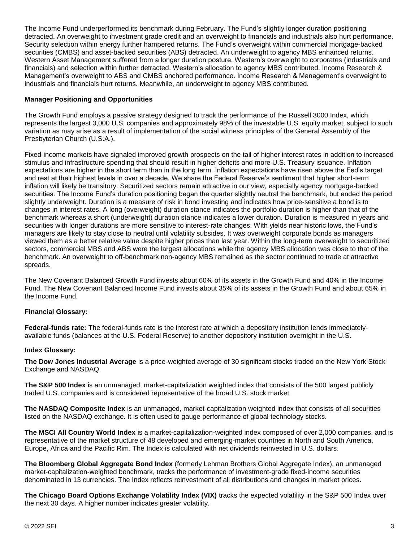The Income Fund underperformed its benchmark during February. The Fund's slightly longer duration positioning detracted. An overweight to investment grade credit and an overweight to financials and industrials also hurt performance. Security selection within energy further hampered returns. The Fund's overweight within commercial mortgage-backed securities (CMBS) and asset-backed securities (ABS) detracted. An underweight to agency MBS enhanced returns. Western Asset Management suffered from a longer duration posture. Western's overweight to corporates (industrials and financials) and selection within further detracted. Western's allocation to agency MBS contributed. Income Research & Management's overweight to ABS and CMBS anchored performance. Income Research & Management's overweight to industrials and financials hurt returns. Meanwhile, an underweight to agency MBS contributed.

## **Manager Positioning and Opportunities**

The Growth Fund employs a passive strategy designed to track the performance of the Russell 3000 Index, which represents the largest 3,000 U.S. companies and approximately 98% of the investable U.S. equity market, subject to such variation as may arise as a result of implementation of the social witness principles of the General Assembly of the Presbyterian Church (U.S.A.).

Fixed-income markets have signaled improved growth prospects on the tail of higher interest rates in addition to increased stimulus and infrastructure spending that should result in higher deficits and more U.S. Treasury issuance. Inflation expectations are higher in the short term than in the long term. Inflation expectations have risen above the Fed's target and rest at their highest levels in over a decade. We share the Federal Reserve's sentiment that higher short-term inflation will likely be transitory. Securitized sectors remain attractive in our view, especially agency mortgage-backed securities. The Income Fund's duration positioning began the quarter slightly neutral the benchmark, but ended the period slightly underweight. Duration is a measure of risk in bond investing and indicates how price-sensitive a bond is to changes in interest rates. A long (overweight) duration stance indicates the portfolio duration is higher than that of the benchmark whereas a short (underweight) duration stance indicates a lower duration. Duration is measured in years and securities with longer durations are more sensitive to interest-rate changes. With yields near historic lows, the Fund's managers are likely to stay close to neutral until volatility subsides. It was overweight corporate bonds as managers viewed them as a better relative value despite higher prices than last year. Within the long-term overweight to securitized sectors, commercial MBS and ABS were the largest allocations while the agency MBS allocation was close to that of the benchmark. An overweight to off-benchmark non-agency MBS remained as the sector continued to trade at attractive spreads.

The New Covenant Balanced Growth Fund invests about 60% of its assets in the Growth Fund and 40% in the Income Fund. The New Covenant Balanced Income Fund invests about 35% of its assets in the Growth Fund and about 65% in the Income Fund.

#### **Financial Glossary:**

**Federal-funds rate:** The federal-funds rate is the interest rate at which a depository institution lends immediatelyavailable funds (balances at the U.S. Federal Reserve) to another depository institution overnight in the U.S.

#### **Index Glossary:**

**The Dow Jones Industrial Average** is a price-weighted average of 30 significant stocks traded on the New York Stock Exchange and NASDAQ.

**The S&P 500 Index** is an unmanaged, market-capitalization weighted index that consists of the 500 largest publicly traded U.S. companies and is considered representative of the broad U.S. stock market

**The NASDAQ Composite Index** is an unmanaged, market-capitalization weighted index that consists of all securities listed on the NASDAQ exchange. It is often used to gauge performance of global technology stocks.

**The MSCI All Country World Index** is a market-capitalization-weighted index composed of over 2,000 companies, and is representative of the market structure of 48 developed and emerging-market countries in North and South America, Europe, Africa and the Pacific Rim. The Index is calculated with net dividends reinvested in U.S. dollars.

**The Bloomberg Global Aggregate Bond Index** (formerly Lehman Brothers Global Aggregate Index), an unmanaged market-capitalization-weighted benchmark, tracks the performance of investment-grade fixed-income securities denominated in 13 currencies. The Index reflects reinvestment of all distributions and changes in market prices.

**The Chicago Board Options Exchange Volatility Index (VIX)** tracks the expected volatility in the S&P 500 Index over the next 30 days. A higher number indicates greater volatility.